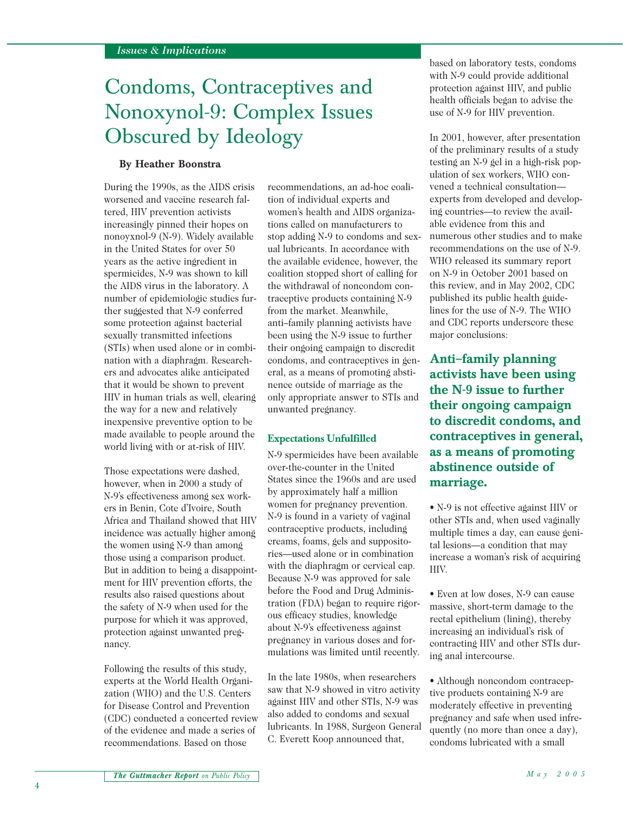# Condoms, Contraceptives and Nonoxynol-9: Complex Issues Obscured by Ideology

#### **By Heather Boonstra**

During the 1990s, as the AIDS crisis worsened and vaccine research faltered, HIV prevention activists increasingly pinned their hopes on nonoyxnol-9 (N-9). Widely available in the United States for over 50 years as the active ingredient in spermicides, N-9 was shown to kill the AIDS virus in the laboratory. A number of epidemiologic studies further suggested that N-9 conferred some protection against bacterial sexually transmitted infections (STIs) when used alone or in combination with a diaphragm. Researchers and advocates alike anticipated that it would be shown to prevent HIV in human trials as well, clearing the way for a new and relatively inexpensive preventive option to be made available to people around the world living with or at-risk of HIV.

Those expectations were dashed, however, when in 2000 a study of N-9's effectiveness among sex workers in Benin, Cote d'Ivoire, South Africa and Thailand showed that HIV incidence was actually higher among the women using N-9 than among those using a comparison product. But in addition to being a disappointment for HIV prevention efforts, the results also raised questions about the safety of N-9 when used for the purpose for which it was approved, protection against unwanted pregnancy.

Following the results of this study, experts at the World Health Organization (WHO) and the U.S. Centers for Disease Control and Prevention (CDC) conducted a concerted review of the evidence and made a series of recommendations. Based on those

recommendations, an ad-hoc coalition of individual experts and women's health and AIDS organizations called on manufacturers to stop adding N-9 to condoms and sexual lubricants. In accordance with the available evidence, however, the coalition stopped short of calling for the withdrawal of noncondom contraceptive products containing N-9 from the market. Meanwhile, anti–family planning activists have been using the N-9 issue to further their ongoing campaign to discredit condoms, and contraceptives in general, as a means of promoting abstinence outside of marriage as the only appropriate answer to STIs and unwanted pregnancy.

#### **Expectations Unfulfilled**

N-9 spermicides have been available over-the-counter in the United States since the 1960s and are used by approximately half a million women for pregnancy prevention. N-9 is found in a variety of vaginal contraceptive products, including creams, foams, gels and suppositories—used alone or in combination with the diaphragm or cervical cap. Because N-9 was approved for sale before the Food and Drug Administration (FDA) began to require rigorous efficacy studies, knowledge about N-9's effectiveness against pregnancy in various doses and formulations was limited until recently.

In the late 1980s, when researchers saw that N-9 showed in vitro activity against HIV and other STIs, N-9 was also added to condoms and sexual lubricants. In 1988, Surgeon General C. Everett Koop announced that,

based on laboratory tests, condoms with N-9 could provide additional protection against HIV, and public health officials began to advise the use of N-9 for HIV prevention.

In 2001, however, after presentation of the preliminary results of a study testing an N-9 gel in a high-risk population of sex workers, WHO convened a technical consultation experts from developed and developing countries—to review the available evidence from this and numerous other studies and to make recommendations on the use of N-9. WHO released its summary report on N-9 in October 2001 based on this review, and in May 2002, CDC published its public health guidelines for the use of N-9. The WHO and CDC reports underscore these major conclusions:

**Anti–family planning activists have been using the N-9 issue to further their ongoing campaign to discredit condoms, and contraceptives in general, as a means of promoting abstinence outside of marriage.**

• N-9 is not effective against HIV or other STIs and, when used vaginally multiple times a day, can cause genital lesions—a condition that may increase a woman's risk of acquiring HIV.

• Even at low doses, N-9 can cause massive, short-term damage to the rectal epithelium (lining), thereby increasing an individual's risk of contracting HIV and other STIs during anal intercourse.

• Although noncondom contraceptive products containing N-9 are moderately effective in preventing pregnancy and safe when used infrequently (no more than once a day), condoms lubricated with a small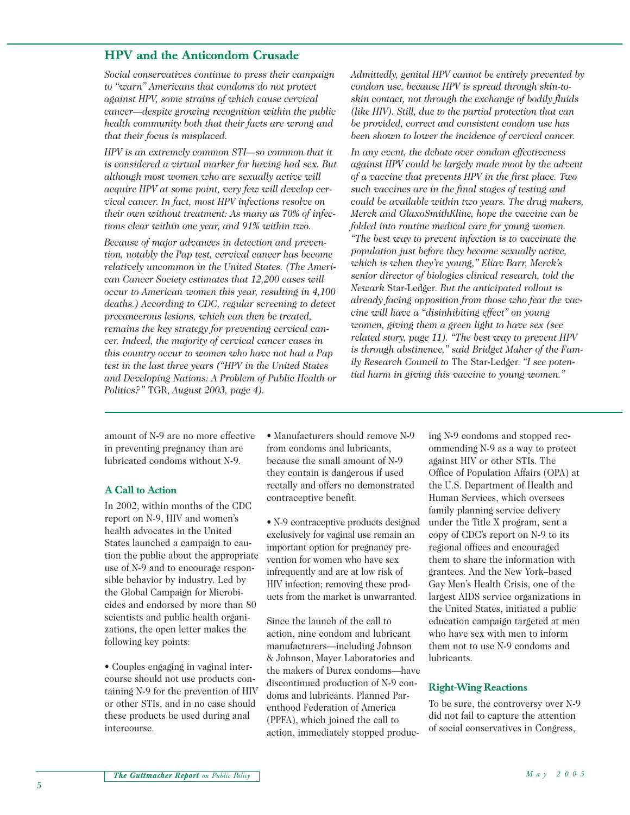### **HPV and the Anticondom Crusade**

*Social conservatives continue to press their campaign to "warn" Americans that condoms do not protect against HPV, some strains of which cause cervical cancer—despite growing recognition within the public health community both that their facts are wrong and that their focus is misplaced.*

*HPV is an extremely common STI—so common that it is considered a virtual marker for having had sex. But although most women who are sexually active will acquire HPV at some point, very few will develop cervical cancer. In fact, most HPV infections resolve on their own without treatment: As many as 70% of infections clear within one year, and 91% within two.*

*Because of major advances in detection and prevention, notably the Pap test, cervical cancer has become relatively uncommon in the United States. (The American Cancer Society estimates that 12,200 cases will occur to American women this year, resulting in 4,100 deaths.) According to CDC, regular screening to detect precancerous lesions, which can then be treated, remains the key strategy for preventing cervical cancer. Indeed, the majority of cervical cancer cases in this country occur to women who have not had a Pap test in the last three years ("HPV in the United States and Developing Nations: A Problem of Public Health or Politics?"* TGR, *August 2003, page 4).*

*Admittedly, genital HPV cannot be entirely prevented by condom use, because HPV is spread through skin-toskin contact, not through the exchange of bodily fluids (like HIV). Still, due to the partial protection that can be provided, correct and consistent condom use has been shown to lower the incidence of cervical cancer.*

*In any event, the debate over condom effectiveness against HPV could be largely made moot by the advent of a vaccine that prevents HPV in the first place. Two such vaccines are in the final stages of testing and could be available within two years. The drug makers, Merck and GlaxoSmithKline, hope the vaccine can be folded into routine medical care for young women.*

*"The best way to prevent infection is to vaccinate the population just before they become sexually active, which is when they're young," Eliav Barr, Merck's senior director of biologics clinical research, told the Newark* Star-Ledger*. But the anticipated rollout is already facing opposition from those who fear the vaccine will have a "disinhibiting effect" on young women, giving them a green light to have sex (see related story, page 11). "The best way to prevent HPV is through abstinence," said Bridget Maher of the Family Research Council to* The Star-Ledger. *"I see potential harm in giving this vaccine to young women."*

amount of N-9 are no more effective in preventing pregnancy than are lubricated condoms without N-9.

#### **A Call to Action**

In 2002, within months of the CDC report on N-9, HIV and women's health advocates in the United States launched a campaign to caution the public about the appropriate use of N-9 and to encourage responsible behavior by industry. Led by the Global Campaign for Microbicides and endorsed by more than 80 scientists and public health organizations, the open letter makes the following key points:

• Couples engaging in vaginal intercourse should not use products containing N-9 for the prevention of HIV or other STIs, and in no case should these products be used during anal intercourse.

• Manufacturers should remove N-9 from condoms and lubricants, because the small amount of N-9 they contain is dangerous if used rectally and offers no demonstrated contraceptive benefit.

• N-9 contraceptive products designed exclusively for vaginal use remain an important option for pregnancy prevention for women who have sex infrequently and are at low risk of HIV infection; removing these products from the market is unwarranted.

Since the launch of the call to action, nine condom and lubricant manufacturers—including Johnson & Johnson, Mayer Laboratories and the makers of Durex condoms—have discontinued production of N-9 condoms and lubricants. Planned Parenthood Federation of America (PPFA), which joined the call to action, immediately stopped produc-

ing N-9 condoms and stopped recommending N-9 as a way to protect against HIV or other STIs. The Office of Population Affairs (OPA) at the U.S. Department of Health and Human Services, which oversees family planning service delivery under the Title X program, sent a copy of CDC's report on N-9 to its regional offices and encouraged them to share the information with grantees. And the New York–based Gay Men's Health Crisis, one of the largest AIDS service organizations in the United States, initiated a public education campaign targeted at men who have sex with men to inform them not to use N-9 condoms and lubricants.

#### **Right-Wing Reactions**

To be sure, the controversy over N-9 did not fail to capture the attention of social conservatives in Congress,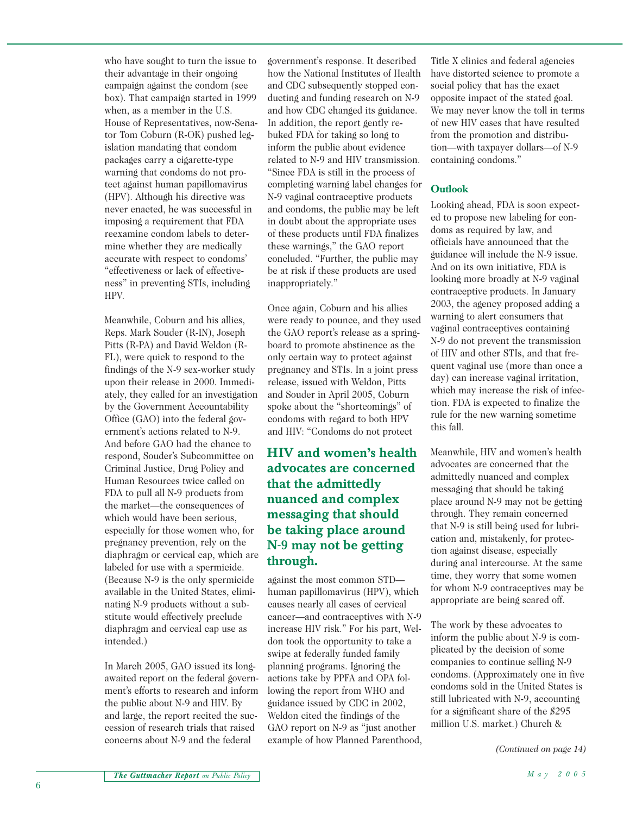who have sought to turn the issue to their advantage in their ongoing campaign against the condom (see box). That campaign started in 1999 when, as a member in the U.S. House of Representatives, now-Senator Tom Coburn (R-OK) pushed legislation mandating that condom packages carry a cigarette-type warning that condoms do not protect against human papillomavirus (HPV). Although his directive was never enacted, he was successful in imposing a requirement that FDA reexamine condom labels to determine whether they are medically accurate with respect to condoms' "effectiveness or lack of effectiveness" in preventing STIs, including HPV.

Meanwhile, Coburn and his allies, Reps. Mark Souder (R-IN), Joseph Pitts (R-PA) and David Weldon (R-FL), were quick to respond to the findings of the N-9 sex-worker study upon their release in 2000. Immediately, they called for an investigation by the Government Accountability Office (GAO) into the federal government's actions related to N-9. And before GAO had the chance to respond, Souder's Subcommittee on Criminal Justice, Drug Policy and Human Resources twice called on FDA to pull all N-9 products from the market—the consequences of which would have been serious, especially for those women who, for pregnancy prevention, rely on the diaphragm or cervical cap, which are labeled for use with a spermicide. (Because N-9 is the only spermicide available in the United States, eliminating N-9 products without a substitute would effectively preclude diaphragm and cervical cap use as intended.)

In March 2005, GAO issued its longawaited report on the federal government's efforts to research and inform the public about N-9 and HIV. By and large, the report recited the succession of research trials that raised concerns about N-9 and the federal

government's response. It described how the National Institutes of Health and CDC subsequently stopped conducting and funding research on N-9 and how CDC changed its guidance. In addition, the report gently rebuked FDA for taking so long to inform the public about evidence related to N-9 and HIV transmission. "Since FDA is still in the process of completing warning label changes for N-9 vaginal contraceptive products and condoms, the public may be left in doubt about the appropriate uses of these products until FDA finalizes these warnings," the GAO report concluded. "Further, the public may be at risk if these products are used inappropriately."

Once again, Coburn and his allies were ready to pounce, and they used the GAO report's release as a springboard to promote abstinence as the only certain way to protect against pregnancy and STIs. In a joint press release, issued with Weldon, Pitts and Souder in April 2005, Coburn spoke about the "shortcomings" of condoms with regard to both HPV and HIV: "Condoms do not protect

# **HIV and women's health advocates are concerned that the admittedly nuanced and complex messaging that should be taking place around N-9 may not be getting through.**

against the most common STD human papillomavirus (HPV), which causes nearly all cases of cervical cancer—and contraceptives with N-9 increase HIV risk." For his part, Weldon took the opportunity to take a swipe at federally funded family planning programs. Ignoring the actions take by PPFA and OPA following the report from WHO and guidance issued by CDC in 2002, Weldon cited the findings of the GAO report on N-9 as "just another example of how Planned Parenthood, Title X clinics and federal agencies have distorted science to promote a social policy that has the exact opposite impact of the stated goal. We may never know the toll in terms of new HIV cases that have resulted from the promotion and distribution—with taxpayer dollars—of N-9 containing condoms."

## **Outlook**

Looking ahead, FDA is soon expected to propose new labeling for condoms as required by law, and officials have announced that the guidance will include the N-9 issue. And on its own initiative, FDA is looking more broadly at N-9 vaginal contraceptive products. In January 2003, the agency proposed adding a warning to alert consumers that vaginal contraceptives containing N-9 do not prevent the transmission of HIV and other STIs, and that frequent vaginal use (more than once a day) can increase vaginal irritation, which may increase the risk of infection. FDA is expected to finalize the rule for the new warning sometime this fall.

Meanwhile, HIV and women's health advocates are concerned that the admittedly nuanced and complex messaging that should be taking place around N-9 may not be getting through. They remain concerned that N-9 is still being used for lubrication and, mistakenly, for protection against disease, especially during anal intercourse. At the same time, they worry that some women for whom N-9 contraceptives may be appropriate are being scared off.

The work by these advocates to inform the public about N-9 is complicated by the decision of some companies to continue selling N-9 condoms. (Approximately one in five condoms sold in the United States is still lubricated with N-9, accounting for a significant share of the \$295 million U.S. market.) Church &

*(Continued on page 14)*